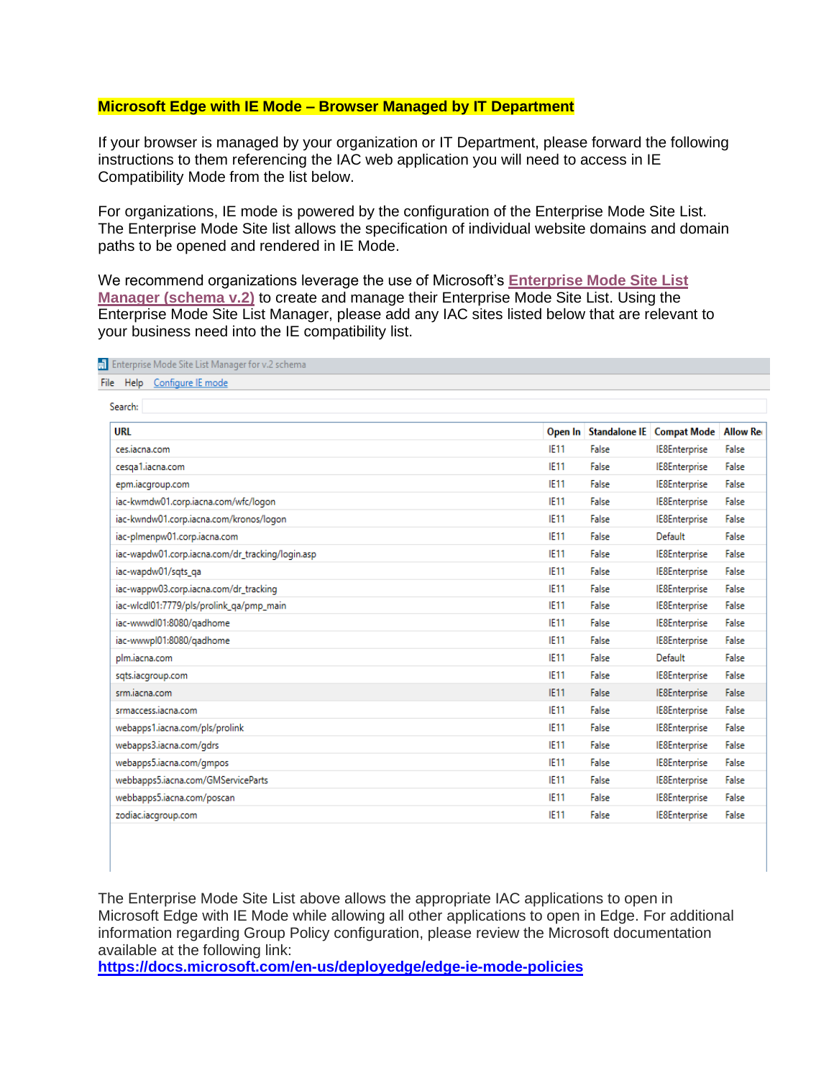## **Microsoft Edge with IE Mode – Browser Managed by IT Department**

If your browser is managed by your organization or IT Department, please forward the following instructions to them referencing the IAC web application you will need to access in IE Compatibility Mode from the list below.

For organizations, IE mode is powered by the configuration of the Enterprise Mode Site List. The Enterprise Mode Site list allows the specification of individual website domains and domain paths to be opened and rendered in IE Mode.

We recommend organizations leverage the use of Microsoft's **[Enterprise Mode Site List](https://urldefense.com/v3/__https:/go.microsoft.com/fwlink/p/?LinkId=716853__;!!JB6aZA!VTNeS096svbca6Wc9RcRw6QPhjiiaA1jDu_Kd8-7BvFC7j96D407KbHanaEusnVC-9SGnODwHNw8s4bIqpQJuWpn$)  [Manager \(schema v.2\)](https://urldefense.com/v3/__https:/go.microsoft.com/fwlink/p/?LinkId=716853__;!!JB6aZA!VTNeS096svbca6Wc9RcRw6QPhjiiaA1jDu_Kd8-7BvFC7j96D407KbHanaEusnVC-9SGnODwHNw8s4bIqpQJuWpn$)** to create and manage their Enterprise Mode Site List. Using the Enterprise Mode Site List Manager, please add any IAC sites listed below that are relevant to your business need into the IE compatibility list.

| 삐<br>Enterprise Mode Site List Manager for v.2 schema |             |       |                                        |       |
|-------------------------------------------------------|-------------|-------|----------------------------------------|-------|
| Help Configure IE mode<br>File                        |             |       |                                        |       |
| Search:                                               |             |       |                                        |       |
| URL                                                   | Open In     |       | Standalone IE   Compat Mode   Allow Re |       |
| ces.iacna.com                                         | IE11        | False | <b>IE8Enterprise</b>                   | False |
| cesga1.iacna.com                                      | <b>IE11</b> | False | IE8Enterprise                          | False |
| epm.iacgroup.com                                      | IE11        | False | IE8Enterprise                          | False |
| iac-kwmdw01.corp.iacna.com/wfc/logon                  | <b>IE11</b> | False | IE8Enterprise                          | False |
| iac-kwndw01.corp.iacna.com/kronos/logon               | <b>IE11</b> | False | IE8Enterprise                          | False |
| iac-plmenpw01.corp.iacna.com                          | IE11        | False | Default                                | False |
| iac-wapdw01.corp.iacna.com/dr_tracking/login.asp      | IE11        | False | IE8Enterprise                          | False |
| iac-wapdw01/sqts_qa                                   | IE11        | False | IE8Enterprise                          | False |
| iac-wappw03.corp.iacna.com/dr_tracking                | IE11        | False | IE8Enterprise                          | False |
| iac-wlcdl01:7779/pls/prolink_qa/pmp_main              | IE11        | False | IE8Enterprise                          | False |
| iac-wwwdl01:8080/gadhome                              | IE11        | False | IE8Enterprise                          | False |
| iac-wwwpl01:8080/gadhome                              | <b>IE11</b> | False | IE8Enterprise                          | False |
| plm.iacna.com                                         | <b>IE11</b> | False | Default                                | False |
| sqts.iacgroup.com                                     | IE11        | False | IE8Enterprise                          | False |
| srm.jacna.com                                         | <b>IE11</b> | False | IE8Enterprise                          | False |
| srmaccess.iacna.com                                   | <b>IE11</b> | False | IE8Enterprise                          | False |
| webapps1.iacna.com/pls/prolink                        | IE11        | False | IE8Enterprise                          | False |
| webapps3.iacna.com/gdrs                               | <b>IE11</b> | False | IE8Enterprise                          | False |
| webapps5.iacna.com/gmpos                              | IE11        | False | IE8Enterprise                          | False |
| webbapps5.iacna.com/GMServiceParts                    | <b>IE11</b> | False | IE8Enterprise                          | False |
| webbapps5.iacna.com/poscan                            | IE11        | False | IE8Enterprise                          | False |
| zodiac.iacgroup.com                                   | <b>IE11</b> | False | IE8Enterprise                          | False |
|                                                       |             |       |                                        |       |

The Enterprise Mode Site List above allows the appropriate IAC applications to open in Microsoft Edge with IE Mode while allowing all other applications to open in Edge. For additional information regarding Group Policy configuration, please review the Microsoft documentation available at the following link:

**<https://docs.microsoft.com/en-us/deployedge/edge-ie-mode-policies>**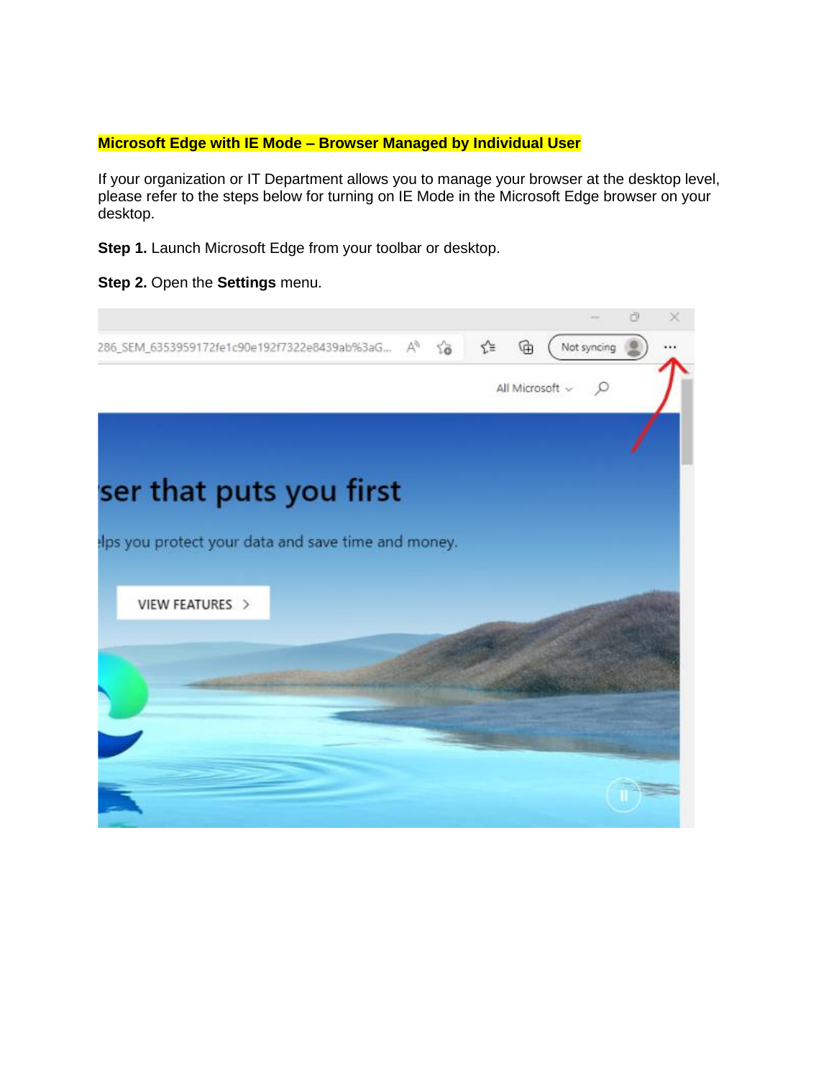## **Microsoft Edge with IE Mode – Browser Managed by Individual User**

If your organization or IT Department allows you to manage your browser at the desktop level, please refer to the steps below for turning on IE Mode in the Microsoft Edge browser on your desktop.

**Step 1.** Launch Microsoft Edge from your toolbar or desktop.

**Step 2.** Open the **Settings** menu.

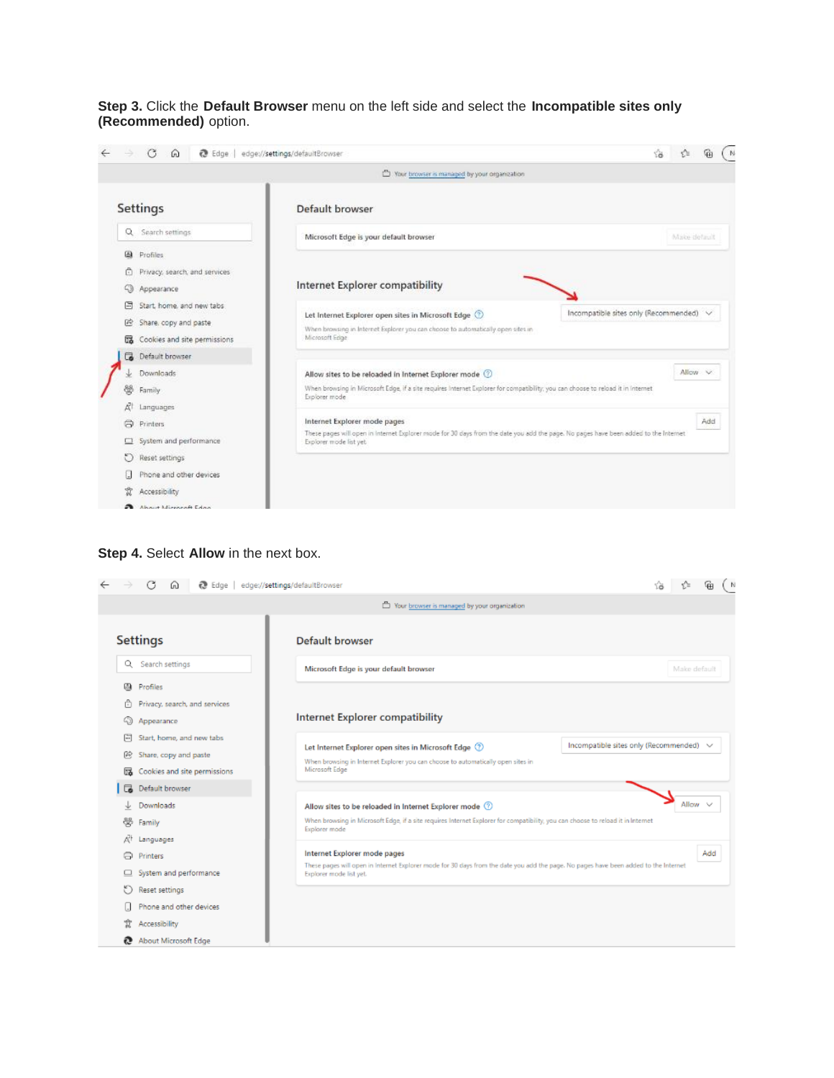**Step 3.** Click the **Default Browser** menu on the left side and select the **Incompatible sites only (Recommended)** option.



## **Step 4.** Select **Allow** in the next box.

|             | <b>R</b> Edge                                           | edge://settings/defaultBrowser                                                                                                                                                        |              | ୍କ  | - N |
|-------------|---------------------------------------------------------|---------------------------------------------------------------------------------------------------------------------------------------------------------------------------------------|--------------|-----|-----|
|             |                                                         | To Your browser is managed by your organization                                                                                                                                       |              |     |     |
|             | <b>Settings</b>                                         | Default browser                                                                                                                                                                       |              |     |     |
|             | Q Search settings                                       | Microsoft Edge is your default browser                                                                                                                                                | Make default |     |     |
| 四.          | Profiles<br>Privacy, search, and services<br>Appearance | Internet Explorer compatibility                                                                                                                                                       |              |     |     |
| $\Box$<br>@ | Start, home, and new tabs<br>Share, copy and paste      | Incompatible sites only (Recommended) v<br>Let Internet Explorer open sites in Microsoft Edge (2)<br>When browsing in Internet Explorer you can choose to automatically open sites in |              |     |     |
| ᇏ           | Cookies and site permissions                            | Microsoft Edge                                                                                                                                                                        |              |     |     |
| ᢛ           | Default browser<br>Downloads                            | Allow sites to be reloaded in Internet Explorer mode 3                                                                                                                                | Allow v      |     |     |
|             | Family<br>Languages                                     | When browsing in Microsoft Edge, if a site requires Internet Explorer for compatibility, you can choose to reload it in Internet<br>Explorer mode                                     |              |     |     |
| ا⊢          | Printers                                                | Internet Explorer mode pages<br>These pages will open in Internet Explorer mode for 30 days from the date you add the page. No pages have been added to the Internet                  |              | Add |     |
|             | System and performance                                  | Explorer mode list yet.                                                                                                                                                               |              |     |     |
|             | Reset settings<br>Phone and other devices               |                                                                                                                                                                                       |              |     |     |
| Ï           | Accessibility                                           |                                                                                                                                                                                       |              |     |     |
| e           | About Microsoft Edge                                    |                                                                                                                                                                                       |              |     |     |